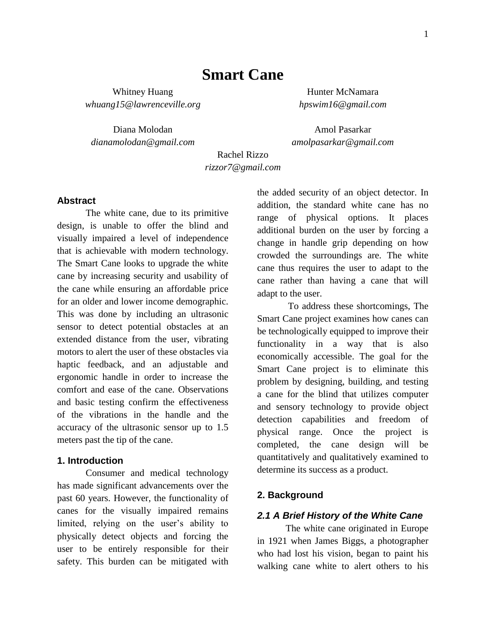# **Smart Cane**

Whitney Huang Hunter McNamara *[whuang15@lawrenceville.org](mailto:whuang15@lawrenceville.org) hpswim16@gmail.com*

Diana Molodan **Amol Pasarkar** 

*dianamolodan@gmail.com amolpasarkar@gmail.com*

Rachel Rizzo *rizzor7@gmail.com*

#### **Abstract**

The white cane, due to its primitive design, is unable to offer the blind and visually impaired a level of independence that is achievable with modern technology. The Smart Cane looks to upgrade the white cane by increasing security and usability of the cane while ensuring an affordable price for an older and lower income demographic. This was done by including an ultrasonic sensor to detect potential obstacles at an extended distance from the user, vibrating motors to alert the user of these obstacles via haptic feedback, and an adjustable and ergonomic handle in order to increase the comfort and ease of the cane. Observations and basic testing confirm the effectiveness of the vibrations in the handle and the accuracy of the ultrasonic sensor up to 1.5 meters past the tip of the cane.

### **1. Introduction**

Consumer and medical technology has made significant advancements over the past 60 years. However, the functionality of canes for the visually impaired remains limited, relying on the user's ability to physically detect objects and forcing the user to be entirely responsible for their safety. This burden can be mitigated with the added security of an object detector. In addition, the standard white cane has no range of physical options. It places additional burden on the user by forcing a change in handle grip depending on how crowded the surroundings are. The white cane thus requires the user to adapt to the cane rather than having a cane that will adapt to the user.

To address these shortcomings, The Smart Cane project examines how canes can be technologically equipped to improve their functionality in a way that is also economically accessible. The goal for the Smart Cane project is to eliminate this problem by designing, building, and testing a cane for the blind that utilizes computer and sensory technology to provide object detection capabilities and freedom of physical range. Once the project is completed, the cane design will be quantitatively and qualitatively examined to determine its success as a product.

#### **2. Background**

#### *2.1 A Brief History of the White Cane*

The white cane originated in Europe in 1921 when James Biggs, a photographer who had lost his vision, began to paint his walking cane white to alert others to his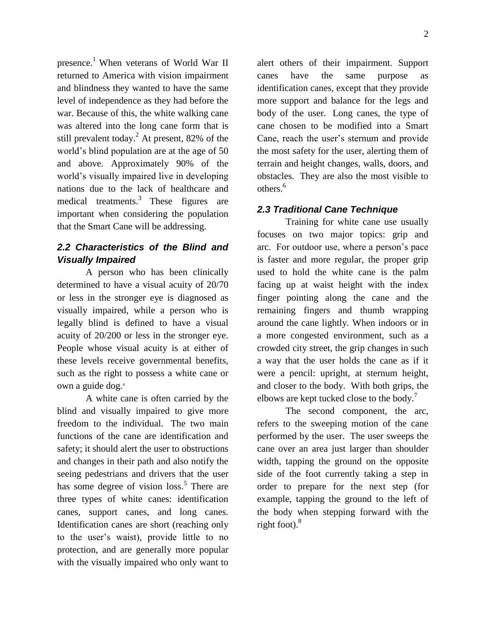presence.<sup>1</sup> When veterans of World War II returned to America with vision impairment and blindness they wanted to have the same level of independence as they had before the war. Because of this, the white walking cane was altered into the long cane form that is still prevalent today.<sup>2</sup> At present, 82% of the world's blind population are at the age of 50 and above. Approximately 90% of the world's visually impaired live in developing nations due to the lack of healthcare and medical treatments. $3$  These figures are important when considering the population that the Smart Cane will be addressing.

## *2.2 Characteristics of the Blind and Visually Impaired*

A person who has been clinically determined to have a visual acuity of 20/70 or less in the stronger eye is diagnosed as visually impaired, while a person who is legally blind is defined to have a visual acuity of 20/200 or less in the stronger eye. People whose visual acuity is at either of these levels receive governmental benefits, such as the right to possess a white cane or own a guide dog.<sup>4</sup>

A white cane is often carried by the blind and visually impaired to give more freedom to the individual. The two main functions of the cane are identification and safety; it should alert the user to obstructions and changes in their path and also notify the seeing pedestrians and drivers that the user has some degree of vision loss.<sup>5</sup> There are three types of white canes: identification canes, support canes, and long canes. Identification canes are short (reaching only to the user's waist), provide little to no protection, and are generally more popular with the visually impaired who only want to

alert others of their impairment. Support canes have the same purpose as identification canes, except that they provide more support and balance for the legs and body of the user. Long canes, the type of cane chosen to be modified into a Smart Cane, reach the user's sternum and provide the most safety for the user, alerting them of terrain and height changes, walls, doors, and obstacles. They are also the most visible to others.<sup>6</sup>

## *2.3 Traditional Cane Technique*

Training for white cane use usually focuses on two major topics: grip and arc. For outdoor use, where a person's pace is faster and more regular, the proper grip used to hold the white cane is the palm facing up at waist height with the index finger pointing along the cane and the remaining fingers and thumb wrapping around the cane lightly. When indoors or in a more congested environment, such as a crowded city street, the grip changes in such a way that the user holds the cane as if it were a pencil: upright, at sternum height, and closer to the body. With both grips, the elbows are kept tucked close to the body.<sup>7</sup>

The second component, the arc, refers to the sweeping motion of the cane performed by the user. The user sweeps the cane over an area just larger than shoulder width, tapping the ground on the opposite side of the foot currently taking a step in order to prepare for the next step (for example, tapping the ground to the left of the body when stepping forward with the right foot). $8$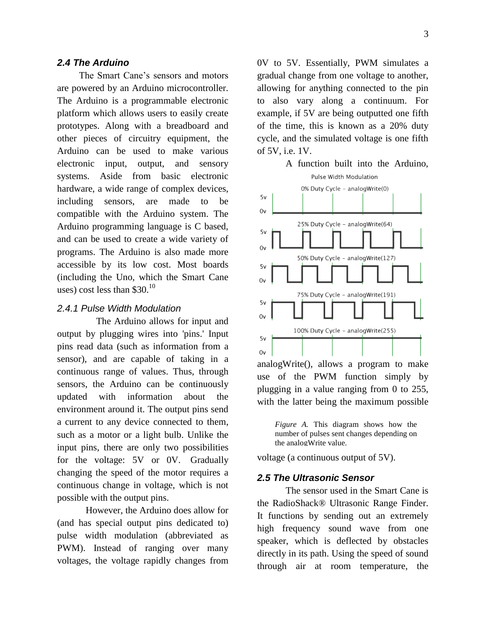#### *2.4 The Arduino*

 The Smart Cane's sensors and motors are powered by an Arduino microcontroller. The Arduino is a programmable electronic platform which allows users to easily create prototypes. Along with a breadboard and other pieces of circuitry equipment, the Arduino can be used to make various electronic input, output, and sensory systems. Aside from basic electronic hardware, a wide range of complex devices, including sensors, are made to be compatible with the Arduino system. The Arduino programming language is C based, and can be used to create a wide variety of programs. The Arduino is also made more accessible by its low cost. Most boards (including the Uno, which the Smart Cane uses) cost less than  $$30.<sup>10</sup>$ 

#### *2.4.1 Pulse Width Modulation*

 The Arduino allows for input and output by plugging wires into 'pins.' Input pins read data (such as information from a sensor), and are capable of taking in a continuous range of values. Thus, through sensors, the Arduino can be continuously updated with information about the environment around it. The output pins send a current to any device connected to them, such as a motor or a light bulb. Unlike the input pins, there are only two possibilities for the voltage: 5V or 0V. Gradually changing the speed of the motor requires a continuous change in voltage, which is not possible with the output pins.

However, the Arduino does allow for (and has special output pins dedicated to) pulse width modulation (abbreviated as PWM). Instead of ranging over many voltages, the voltage rapidly changes from 0V to 5V. Essentially, PWM simulates a gradual change from one voltage to another, allowing for anything connected to the pin to also vary along a continuum. For example, if 5V are being outputted one fifth of the time, this is known as a 20% duty cycle, and the simulated voltage is one fifth of 5V, i.e. 1V.

#### A function built into the Arduino, Pulse Width Modulation



analogWrite(), allows a program to make use of the PWM function simply by plugging in a value ranging from 0 to 255, with the latter being the maximum possible

*Figure A.* This diagram shows how the number of pulses sent changes depending on the analogWrite value.

voltage (a continuous output of 5V).

#### *2.5 The Ultrasonic Sensor*

The sensor used in the Smart Cane is the RadioShack® Ultrasonic Range Finder. It functions by sending out an extremely high frequency sound wave from one speaker, which is deflected by obstacles directly in its path. Using the speed of sound through air at room temperature, the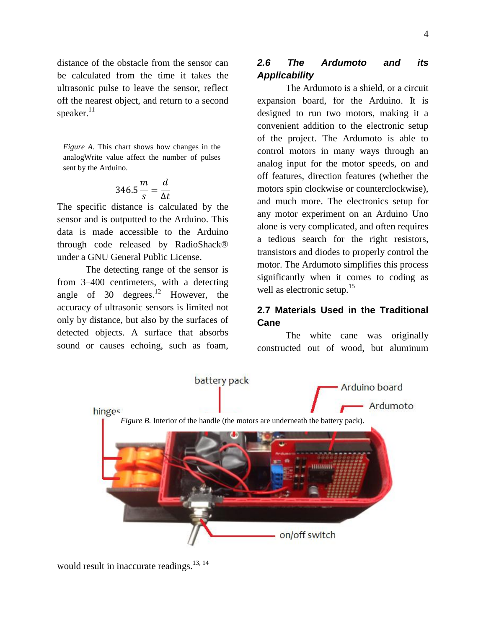distance of the obstacle from the sensor can be calculated from the time it takes the ultrasonic pulse to leave the sensor, reflect off the nearest object, and return to a second speaker.<sup>11</sup>

*Figure A.* This chart shows how changes in the analogWrite value affect the number of pulses sent by the Arduino.

$$
346.5 \frac{m}{s} = \frac{d}{\Delta t}
$$

The specific distance is calculated by the sensor and is outputted to the Arduino. This data is made accessible to the Arduino through code released by RadioShack® under a GNU General Public License.

The detecting range of the sensor is from 3–400 centimeters, with a detecting angle of 30 degrees.<sup>12</sup> However, the accuracy of ultrasonic sensors is limited not only by distance, but also by the surfaces of detected objects. A surface that absorbs sound or causes echoing, such as foam,

## *2.6 The Ardumoto and its Applicability*

The Ardumoto is a shield, or a circuit expansion board, for the Arduino. It is designed to run two motors, making it a convenient addition to the electronic setup of the project. The Ardumoto is able to control motors in many ways through an analog input for the motor speeds, on and off features, direction features (whether the motors spin clockwise or counterclockwise), and much more. The electronics setup for any motor experiment on an Arduino Uno alone is very complicated, and often requires a tedious search for the right resistors, transistors and diodes to properly control the motor. The Ardumoto simplifies this process significantly when it comes to coding as well as electronic setup.<sup>15</sup>

## **2.7 Materials Used in the Traditional Cane**

The white cane was originally constructed out of wood, but aluminum



would result in inaccurate readings.<sup>13, 14</sup>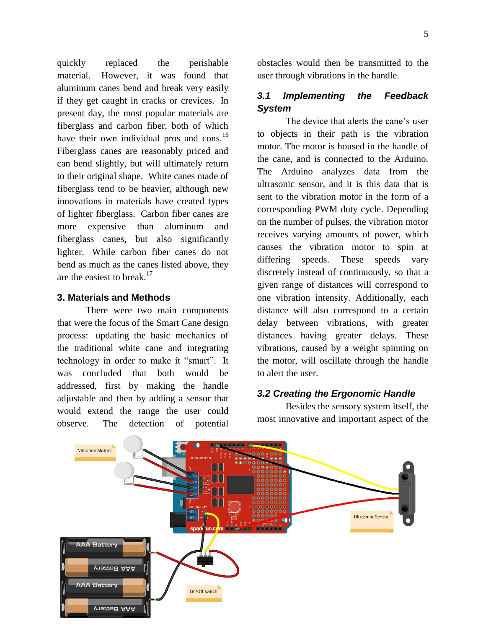quickly replaced the perishable material. However, it was found that aluminum canes bend and break very easily if they get caught in cracks or crevices. In present day, the most popular materials are fiberglass and carbon fiber, both of which have their own individual pros and cons.<sup>16</sup> Fiberglass canes are reasonably priced and can bend slightly, but will ultimately return to their original shape. White canes made of fiberglass tend to be heavier, although new innovations in materials have created types of lighter fiberglass. Carbon fiber canes are more expensive than aluminum and fiberglass canes, but also significantly lighter. While carbon fiber canes do not bend as much as the canes listed above, they are the easiest to break.<sup>17</sup>

### **3. Materials and Methods**

There were two main components that were the focus of the Smart Cane design process: updating the basic mechanics of the traditional white cane and integrating technology in order to make it "smart". It was concluded that both would be addressed, first by making the handle adjustable and then by adding a sensor that would extend the range the user could observe. The detection of potential

obstacles would then be transmitted to the user through vibrations in the handle.

## *3.1 Implementing the Feedback System*

The device that alerts the cane's user to objects in their path is the vibration motor. The motor is housed in the handle of the cane, and is connected to the Arduino. The Arduino analyzes data from the ultrasonic sensor, and it is this data that is sent to the vibration motor in the form of a corresponding PWM duty cycle. Depending on the number of pulses, the vibration motor receives varying amounts of power, which causes the vibration motor to spin at differing speeds. These speeds vary discretely instead of continuously, so that a given range of distances will correspond to one vibration intensity. Additionally, each distance will also correspond to a certain delay between vibrations, with greater distances having greater delays. These vibrations, caused by a weight spinning on the motor, will oscillate through the handle to alert the user.

### *3.2 Creating the Ergonomic Handle*

Besides the sensory system itself, the most innovative and important aspect of the

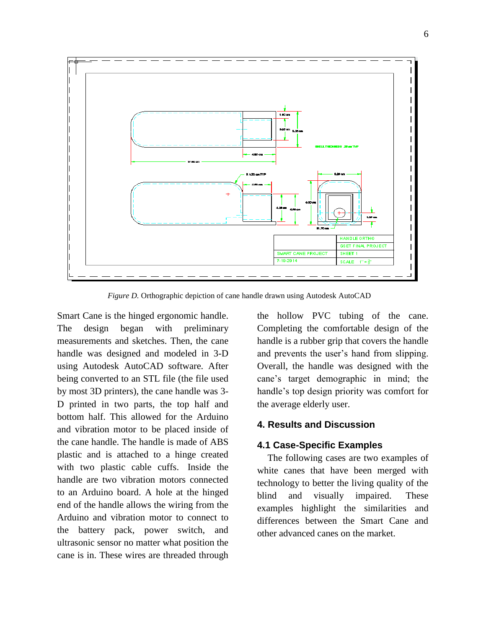

*Figure D.* Orthographic depiction of cane handle drawn using Autodesk AutoCAD

Smart Cane is the hinged ergonomic handle. The design began with preliminary measurements and sketches. Then, the cane handle was designed and modeled in 3-D using Autodesk AutoCAD software. After being converted to an STL file (the file used by most 3D printers), the cane handle was 3- D printed in two parts, the top half and bottom half. This allowed for the Arduino and vibration motor to be placed inside of the cane handle. The handle is made of ABS plastic and is attached to a hinge created with two plastic cable cuffs. Inside the handle are two vibration motors connected to an Arduino board. A hole at the hinged end of the handle allows the wiring from the Arduino and vibration motor to connect to the battery pack, power switch, and ultrasonic sensor no matter what position the cane is in. These wires are threaded through

the hollow PVC tubing of the cane. Completing the comfortable design of the handle is a rubber grip that covers the handle and prevents the user's hand from slipping. Overall, the handle was designed with the cane's target demographic in mind; the handle's top design priority was comfort for the average elderly user.

### **4. Results and Discussion**

### **4.1 Case-Specific Examples**

 The following cases are two examples of white canes that have been merged with technology to better the living quality of the blind and visually impaired. These examples highlight the similarities and differences between the Smart Cane and other advanced canes on the market.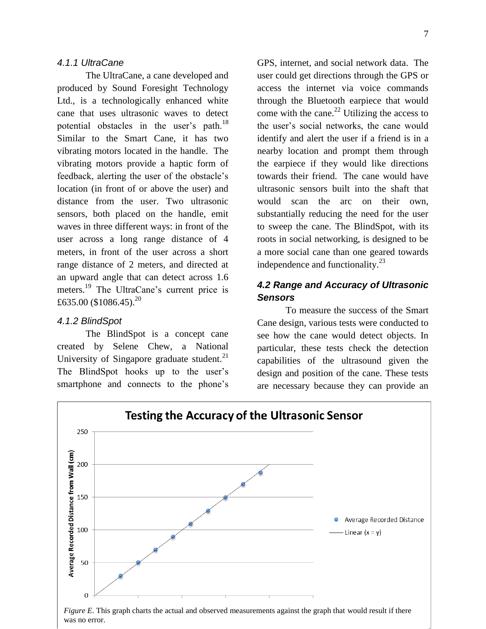### *4.1.1 UltraCane*

The UltraCane, a cane developed and produced by Sound Foresight Technology Ltd., is a technologically enhanced white cane that uses ultrasonic waves to detect potential obstacles in the user's path.<sup>18</sup> Similar to the Smart Cane, it has two vibrating motors located in the handle. The vibrating motors provide a haptic form of feedback, alerting the user of the obstacle's location (in front of or above the user) and distance from the user. Two ultrasonic sensors, both placed on the handle, emit waves in three different ways: in front of the user across a long range distance of 4 meters, in front of the user across a short range distance of 2 meters, and directed at an upward angle that can detect across 1.6 meters.<sup>19</sup> The UltraCane's current price is £635.00 (\$1086.45).<sup>20</sup>

### *4.1.2 BlindSpot*

The BlindSpot is a concept cane created by Selene Chew, a National University of Singapore graduate student.<sup>21</sup> The BlindSpot hooks up to the user's smartphone and connects to the phone's

GPS, internet, and social network data. The user could get directions through the GPS or access the internet via voice commands through the Bluetooth earpiece that would come with the cane. $^{22}$  Utilizing the access to the user's social networks, the cane would identify and alert the user if a friend is in a nearby location and prompt them through the earpiece if they would like directions towards their friend. The cane would have ultrasonic sensors built into the shaft that would scan the arc on their own, substantially reducing the need for the user to sweep the cane. The BlindSpot, with its roots in social networking, is designed to be a more social cane than one geared towards independence and functionality. $^{23}$ 

## *4.2 Range and Accuracy of Ultrasonic Sensors*

To measure the success of the Smart Cane design, various tests were conducted to see how the cane would detect objects. In particular, these tests check the detection capabilities of the ultrasound given the design and position of the cane. These tests are necessary because they can provide an

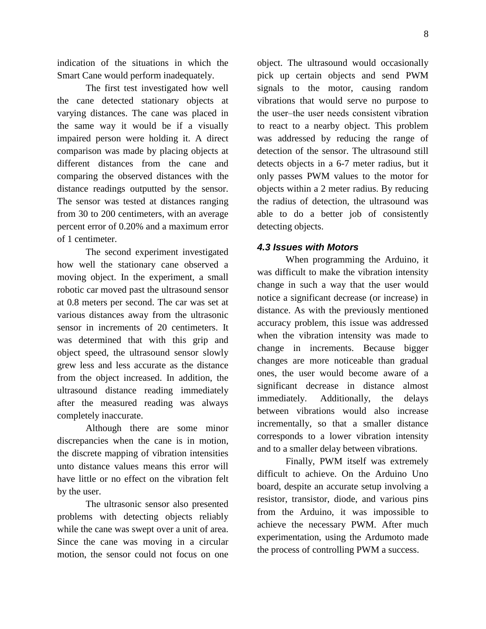indication of the situations in which the Smart Cane would perform inadequately.

The first test investigated how well the cane detected stationary objects at varying distances. The cane was placed in the same way it would be if a visually impaired person were holding it. A direct comparison was made by placing objects at different distances from the cane and comparing the observed distances with the distance readings outputted by the sensor. The sensor was tested at distances ranging from 30 to 200 centimeters, with an average percent error of 0.20% and a maximum error of 1 centimeter.

The second experiment investigated how well the stationary cane observed a moving object. In the experiment, a small robotic car moved past the ultrasound sensor at 0.8 meters per second. The car was set at various distances away from the ultrasonic sensor in increments of 20 centimeters. It was determined that with this grip and object speed, the ultrasound sensor slowly grew less and less accurate as the distance from the object increased. In addition, the ultrasound distance reading immediately after the measured reading was always completely inaccurate.

Although there are some minor discrepancies when the cane is in motion, the discrete mapping of vibration intensities unto distance values means this error will have little or no effect on the vibration felt by the user.

The ultrasonic sensor also presented problems with detecting objects reliably while the cane was swept over a unit of area. Since the cane was moving in a circular motion, the sensor could not focus on one

object. The ultrasound would occasionally pick up certain objects and send PWM signals to the motor, causing random vibrations that would serve no purpose to the user‒the user needs consistent vibration to react to a nearby object. This problem was addressed by reducing the range of detection of the sensor. The ultrasound still detects objects in a 6-7 meter radius, but it only passes PWM values to the motor for objects within a 2 meter radius. By reducing the radius of detection, the ultrasound was able to do a better job of consistently detecting objects.

#### *4.3 Issues with Motors*

When programming the Arduino, it was difficult to make the vibration intensity change in such a way that the user would notice a significant decrease (or increase) in distance. As with the previously mentioned accuracy problem, this issue was addressed when the vibration intensity was made to change in increments. Because bigger changes are more noticeable than gradual ones, the user would become aware of a significant decrease in distance almost immediately. Additionally, the delays between vibrations would also increase incrementally, so that a smaller distance corresponds to a lower vibration intensity and to a smaller delay between vibrations.

Finally, PWM itself was extremely difficult to achieve. On the Arduino Uno board, despite an accurate setup involving a resistor, transistor, diode, and various pins from the Arduino, it was impossible to achieve the necessary PWM. After much experimentation, using the Ardumoto made the process of controlling PWM a success.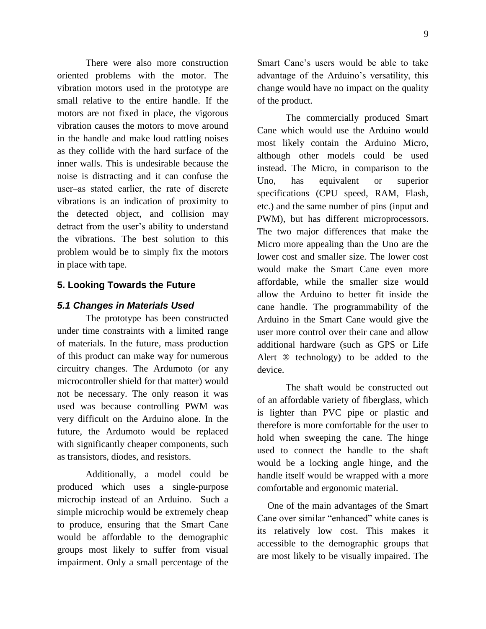9

There were also more construction oriented problems with the motor. The vibration motors used in the prototype are small relative to the entire handle. If the motors are not fixed in place, the vigorous vibration causes the motors to move around in the handle and make loud rattling noises as they collide with the hard surface of the inner walls. This is undesirable because the noise is distracting and it can confuse the user‒as stated earlier, the rate of discrete vibrations is an indication of proximity to the detected object, and collision may detract from the user's ability to understand the vibrations. The best solution to this problem would be to simply fix the motors in place with tape.

## **5. Looking Towards the Future**

### *5.1 Changes in Materials Used*

The prototype has been constructed under time constraints with a limited range of materials. In the future, mass production of this product can make way for numerous circuitry changes. The Ardumoto (or any microcontroller shield for that matter) would not be necessary. The only reason it was used was because controlling PWM was very difficult on the Arduino alone. In the future, the Ardumoto would be replaced with significantly cheaper components, such as transistors, diodes, and resistors.

Additionally, a model could be produced which uses a single-purpose microchip instead of an Arduino. Such a simple microchip would be extremely cheap to produce, ensuring that the Smart Cane would be affordable to the demographic groups most likely to suffer from visual impairment. Only a small percentage of the

Smart Cane's users would be able to take advantage of the Arduino's versatility, this change would have no impact on the quality of the product.

The commercially produced Smart Cane which would use the Arduino would most likely contain the Arduino Micro, although other models could be used instead. The Micro, in comparison to the Uno, has equivalent or superior specifications (CPU speed, RAM, Flash, etc.) and the same number of pins (input and PWM), but has different microprocessors. The two major differences that make the Micro more appealing than the Uno are the lower cost and smaller size. The lower cost would make the Smart Cane even more affordable, while the smaller size would allow the Arduino to better fit inside the cane handle. The programmability of the Arduino in the Smart Cane would give the user more control over their cane and allow additional hardware (such as GPS or Life Alert ® technology) to be added to the device.

The shaft would be constructed out of an affordable variety of fiberglass, which is lighter than PVC pipe or plastic and therefore is more comfortable for the user to hold when sweeping the cane. The hinge used to connect the handle to the shaft would be a locking angle hinge, and the handle itself would be wrapped with a more comfortable and ergonomic material.

 One of the main advantages of the Smart Cane over similar "enhanced" white canes is its relatively low cost. This makes it accessible to the demographic groups that are most likely to be visually impaired. The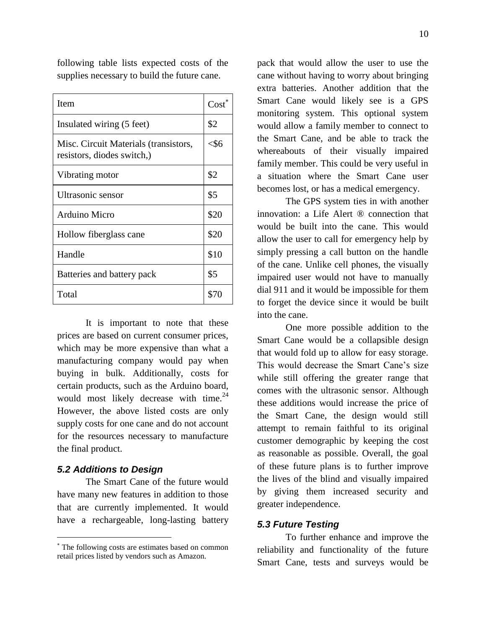following table lists expected costs of the supplies necessary to build the future cane.

| <b>Item</b>                                                         | $Cost^*$ |
|---------------------------------------------------------------------|----------|
| Insulated wiring (5 feet)                                           | \$2      |
| Misc. Circuit Materials (transistors,<br>resistors, diodes switch,) | $<$ \$6  |
| Vibrating motor                                                     | \$2      |
| Ultrasonic sensor                                                   | \$5      |
| Arduino Micro                                                       | \$20     |
| Hollow fiberglass cane                                              | \$20     |
| Handle                                                              | \$10     |
| Batteries and battery pack                                          | \$5      |
| Total                                                               |          |

It is important to note that these prices are based on current consumer prices, which may be more expensive than what a manufacturing company would pay when buying in bulk. Additionally, costs for certain products, such as the Arduino board, would most likely decrease with time. $^{24}$ However, the above listed costs are only supply costs for one cane and do not account for the resources necessary to manufacture the final product.

#### *5.2 Additions to Design*

 $\overline{a}$ 

The Smart Cane of the future would have many new features in addition to those that are currently implemented. It would have a rechargeable, long-lasting battery pack that would allow the user to use the cane without having to worry about bringing extra batteries. Another addition that the Smart Cane would likely see is a GPS monitoring system. This optional system would allow a family member to connect to the Smart Cane, and be able to track the whereabouts of their visually impaired family member. This could be very useful in a situation where the Smart Cane user becomes lost, or has a medical emergency.

The GPS system ties in with another innovation: a Life Alert ® connection that would be built into the cane. This would allow the user to call for emergency help by simply pressing a call button on the handle of the cane. Unlike cell phones, the visually impaired user would not have to manually dial 911 and it would be impossible for them to forget the device since it would be built into the cane.

One more possible addition to the Smart Cane would be a collapsible design that would fold up to allow for easy storage. This would decrease the Smart Cane's size while still offering the greater range that comes with the ultrasonic sensor. Although these additions would increase the price of the Smart Cane, the design would still attempt to remain faithful to its original customer demographic by keeping the cost as reasonable as possible. Overall, the goal of these future plans is to further improve the lives of the blind and visually impaired by giving them increased security and greater independence.

#### *5.3 Future Testing*

To further enhance and improve the reliability and functionality of the future Smart Cane, tests and surveys would be

The following costs are estimates based on common retail prices listed by vendors such as Amazon.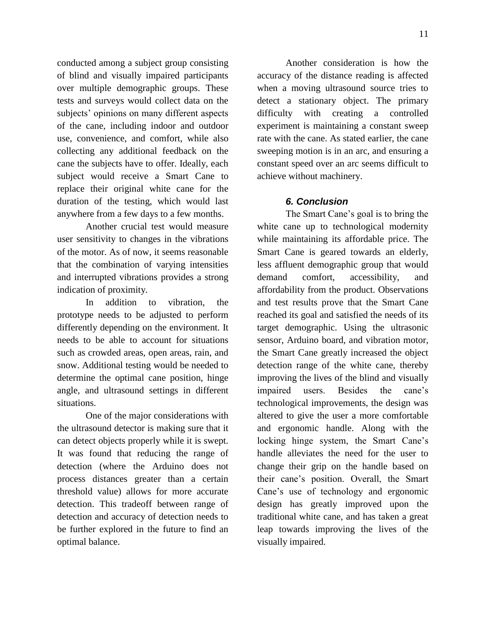conducted among a subject group consisting of blind and visually impaired participants over multiple demographic groups. These tests and surveys would collect data on the subjects' opinions on many different aspects of the cane, including indoor and outdoor use, convenience, and comfort, while also collecting any additional feedback on the cane the subjects have to offer. Ideally, each subject would receive a Smart Cane to replace their original white cane for the duration of the testing, which would last anywhere from a few days to a few months.

Another crucial test would measure user sensitivity to changes in the vibrations of the motor. As of now, it seems reasonable that the combination of varying intensities and interrupted vibrations provides a strong indication of proximity.

In addition to vibration, the prototype needs to be adjusted to perform differently depending on the environment. It needs to be able to account for situations such as crowded areas, open areas, rain, and snow. Additional testing would be needed to determine the optimal cane position, hinge angle, and ultrasound settings in different situations.

One of the major considerations with the ultrasound detector is making sure that it can detect objects properly while it is swept. It was found that reducing the range of detection (where the Arduino does not process distances greater than a certain threshold value) allows for more accurate detection. This tradeoff between range of detection and accuracy of detection needs to be further explored in the future to find an optimal balance.

Another consideration is how the accuracy of the distance reading is affected when a moving ultrasound source tries to detect a stationary object. The primary difficulty with creating a controlled experiment is maintaining a constant sweep rate with the cane. As stated earlier, the cane sweeping motion is in an arc, and ensuring a constant speed over an arc seems difficult to achieve without machinery.

### *6. Conclusion*

The Smart Cane's goal is to bring the white cane up to technological modernity while maintaining its affordable price. The Smart Cane is geared towards an elderly, less affluent demographic group that would demand comfort, accessibility, and affordability from the product. Observations and test results prove that the Smart Cane reached its goal and satisfied the needs of its target demographic. Using the ultrasonic sensor, Arduino board, and vibration motor, the Smart Cane greatly increased the object detection range of the white cane, thereby improving the lives of the blind and visually impaired users. Besides the cane's technological improvements, the design was altered to give the user a more comfortable and ergonomic handle. Along with the locking hinge system, the Smart Cane's handle alleviates the need for the user to change their grip on the handle based on their cane's position. Overall, the Smart Cane's use of technology and ergonomic design has greatly improved upon the traditional white cane, and has taken a great leap towards improving the lives of the visually impaired.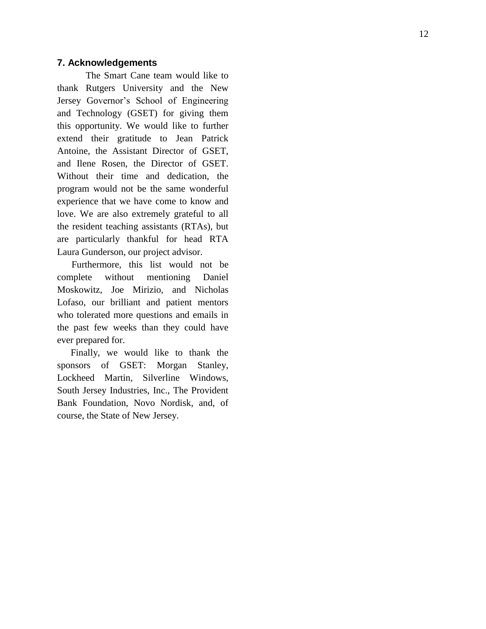#### **7. Acknowledgements**

The Smart Cane team would like to thank Rutgers University and the New Jersey Governor's School of Engineering and Technology (GSET) for giving them this opportunity. We would like to further extend their gratitude to Jean Patrick Antoine, the Assistant Director of GSET, and Ilene Rosen, the Director of GSET. Without their time and dedication , the program would not be the same wonderful experience that we have come to know and love. We are also extremely grateful to all the resident teaching assistants (RTAs), but are particularly thankful for head RTA Laura Gunderson, our project advisor.

 Furthermore, this list would not be complete without mentioning Daniel Moskowitz, Joe Mirizio, and Nicholas Lofaso, our brilliant and patient mentors who tolerated more questions and emails in the past few weeks than they could have ever prepared for.

 Finally, we would like to thank the sponsors of GSET: Morgan Stanley, Lockheed Martin, Silverline Windows, South Jersey Industries, Inc., The Provident Bank Foundation, Novo Nordisk, and, of course, the State of New Jersey.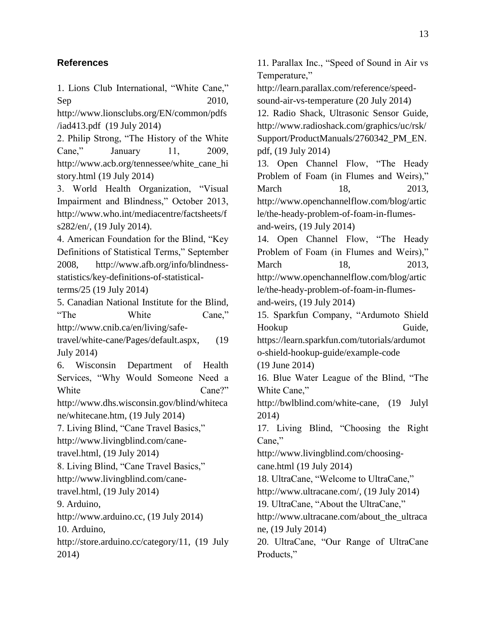## **References**

1. Lions Club International, "White Cane," Sep 2010,

[http://www.lionsclubs.org/EN/common/pdfs](http://www.lionsclubs.org/EN/common/pdfs/iad413.pdf) [/iad413.pdf](http://www.lionsclubs.org/EN/common/pdfs/iad413.pdf) (19 July 2014)

2. Philip Strong, "The History of the White Cane," January 11, 2009, [http://www.acb.org/tennessee/white\\_cane\\_hi](http://www.acb.org/tennessee/white_cane_history.html) [story.html](http://www.acb.org/tennessee/white_cane_history.html) (19 July 2014)

3. World Health Organization, "Visual Impairment and Blindness," October 2013, [http://www.who.int/mediacentre/factsheets/f](http://www.who.int/mediacentre/factsheets/fs282/en/) [s282/en/,](http://www.who.int/mediacentre/factsheets/fs282/en/) (19 July 2014).

4. American Foundation for the Blind, "Key Definitions of Statistical Terms," September 2008, [http://www.afb.org/info/blindness](http://www.afb.org/info/blindness-statistics/key-definitions-of-statistical-terms/25)[statistics/key-definitions-of-statistical](http://www.afb.org/info/blindness-statistics/key-definitions-of-statistical-terms/25)[terms/25](http://www.afb.org/info/blindness-statistics/key-definitions-of-statistical-terms/25) (19 July 2014)

5. Canadian National Institute for the Blind, "The White Cane," [http://www.cnib.ca/en/living/safe-](http://www.cnib.ca/en/living/safe-travel/white-cane/Pages/default.aspx)

[travel/white-cane/Pages/default.aspx,](http://www.cnib.ca/en/living/safe-travel/white-cane/Pages/default.aspx) (19 July 2014)

6. Wisconsin Department of Health Services, "Why Would Someone Need a White Cane?"

[http://www.dhs.wisconsin.gov/blind/whiteca](http://www.dhs.wisconsin.gov/blind/whitecane/whitecane.htm) [ne/whitecane.htm,](http://www.dhs.wisconsin.gov/blind/whitecane/whitecane.htm) (19 July 2014)

7. Living Blind, "Cane Travel Basics," [http://www.livingblind.com/cane-](http://www.livingblind.com/cane-travel.html)

[travel.html,](http://www.livingblind.com/cane-travel.html) (19 July 2014)

8. Living Blind, "Cane Travel Basics,"

[http://www.livingblind.com/cane](http://www.livingblind.com/cane-travel.html)[travel.html,](http://www.livingblind.com/cane-travel.html) (19 July 2014)

9. Arduino,

[http://www.arduino.cc,](http://www.arduino.cc/) (19 July 2014)

10. Arduino,

[http://store.arduino.cc/category/11,](http://store.arduino.cc/category/11) (19 July 2014)

11. Parallax Inc., "Speed of Sound in Air vs Temperature," [http://learn.parallax.com/reference/speed](http://learn.parallax.com/reference/speed-sound-air-vs-temperature)[sound-air-vs-temperature](http://learn.parallax.com/reference/speed-sound-air-vs-temperature) (20 July 2014) 12. Radio Shack, Ultrasonic Sensor Guide, [http://www.radioshack.com/graphics/uc/rsk/](http://www.radioshack.com/graphics/uc/rsk/Support/ProductManuals/2760342_PM_EN.pdf) [Support/ProductManuals/2760342\\_PM\\_EN.](http://www.radioshack.com/graphics/uc/rsk/Support/ProductManuals/2760342_PM_EN.pdf) [pdf,](http://www.radioshack.com/graphics/uc/rsk/Support/ProductManuals/2760342_PM_EN.pdf) (19 July 2014) 13. Open Channel Flow, "The Heady Problem of Foam (in Flumes and Weirs)," March 18, 2013. [http://www.openchannelflow.com/blog/artic](http://www.openchannelflow.com/blog/article/the-heady-problem-of-foam-in-flumes-and-weirs) [le/the-heady-problem-of-foam-in-flumes](http://www.openchannelflow.com/blog/article/the-heady-problem-of-foam-in-flumes-and-weirs)[and-weirs,](http://www.openchannelflow.com/blog/article/the-heady-problem-of-foam-in-flumes-and-weirs) (19 July 2014) 14. Open Channel Flow, "The Heady Problem of Foam (in Flumes and Weirs)," March 18, 2013. [http://www.openchannelflow.com/blog/artic](http://www.openchannelflow.com/blog/article/the-heady-problem-of-foam-in-flumes-and-weirs) [le/the-heady-problem-of-foam-in-flumes](http://www.openchannelflow.com/blog/article/the-heady-problem-of-foam-in-flumes-and-weirs)[and-weirs,](http://www.openchannelflow.com/blog/article/the-heady-problem-of-foam-in-flumes-and-weirs) (19 July 2014) 15. Sparkfun Company, "Ardumoto Shield Hookup Guide, [https://learn.sparkfun.com/tutorials/ardumot](https://learn.sparkfun.com/tutorials/ardumoto-shield-hookup-guide/example-code) [o-shield-hookup-guide/example-code](https://learn.sparkfun.com/tutorials/ardumoto-shield-hookup-guide/example-code) (19 June 2014) 16. Blue Water League of the Blind, "The White Cane," [http://bwlblind.com/white-cane,](http://bwlblind.com/white-cane) (19 Julyl 2014) 17. Living Blind, "Choosing the Right Cane," [http://www.livingblind.com/choosing](http://www.livingblind.com/choosing-cane.html)[cane.html](http://www.livingblind.com/choosing-cane.html) (19 July 2014) 18. UltraCane, "Welcome to UltraCane," [http://www.ultracane.com/,](http://www.ultracane.com/) (19 July 2014) 19. UltraCane, "About the UltraCane," [http://www.ultracane.com/about\\_the\\_ultraca](http://www.ultracane.com/about_the_ultracane) [ne,](http://www.ultracane.com/about_the_ultracane) (19 July 2014) 20. UltraCane, "Our Range of UltraCane

Products,"